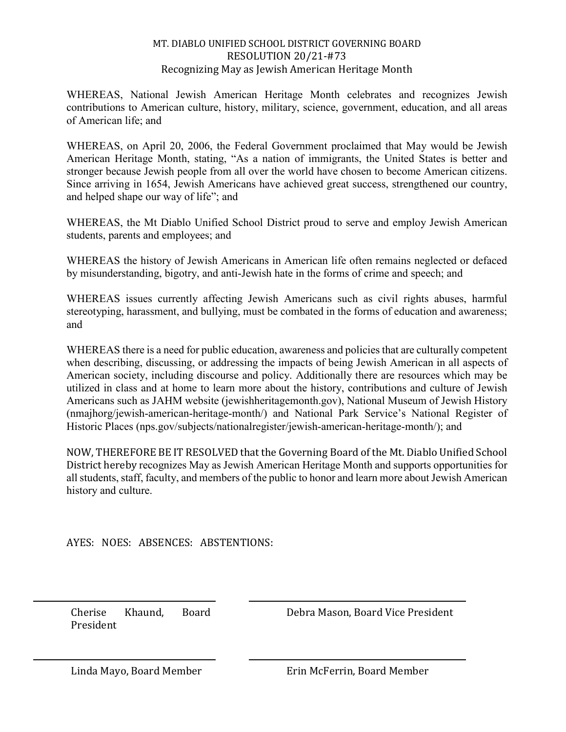## MT. DIABLO UNIFIED SCHOOL DISTRICT GOVERNING BOARD RESOLUTION 20/21-#73 Recognizing May as Jewish American Heritage Month

WHEREAS, National Jewish American Heritage Month celebrates and recognizes Jewish contributions to American culture, history, military, science, government, education, and all areas of American life; and

WHEREAS, on April 20, 2006, the Federal Government proclaimed that May would be Jewish American Heritage Month, stating, "As a nation of immigrants, the United States is better and stronger because Jewish people from all over the world have chosen to become American citizens. Since arriving in 1654, Jewish Americans have achieved great success, strengthened our country, and helped shape our way of life"; and

WHEREAS, the Mt Diablo Unified School District proud to serve and employ Jewish American students, parents and employees; and

WHEREAS the history of Jewish Americans in American life often remains neglected or defaced by misunderstanding, bigotry, and anti-Jewish hate in the forms of crime and speech; and

WHEREAS issues currently affecting Jewish Americans such as civil rights abuses, harmful stereotyping, harassment, and bullying, must be combated in the forms of education and awareness; and

WHEREAS there is a need for public education, awareness and policies that are culturally competent when describing, discussing, or addressing the impacts of being Jewish American in all aspects of American society, including discourse and policy. Additionally there are resources which may be utilized in class and at home to learn more about the history, contributions and culture of Jewish Americans such as JAHM website (jewishheritagemonth.gov), National Museum of Jewish History (nmajhorg/jewish-american-heritage-month/) and National Park Service's National Register of Historic Places (nps.gov/subjects/nationalregister/jewish-american-heritage-month/); and

NOW, THEREFORE BE IT RESOLVED that the Governing Board of the Mt. Diablo Unified School District hereby recognizes May as Jewish American Heritage Month and supports opportunities for all students, staff, faculty, and members of the public to honor and learn more about Jewish American history and culture.

AYES: NOES: ABSENCES: ABSTENTIONS:

Cherise Khaund, Board President

Debra Mason, Board Vice President